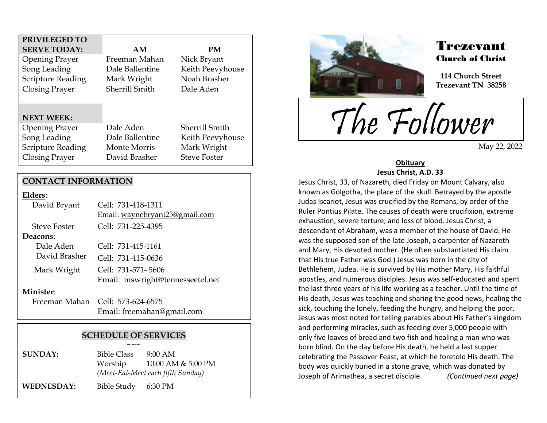## **PRIVILEGED TO SERVE TODAY: AM PM**

Opening Prayer Freeman Mahan Nick Bryant Song Leading Dale Ballentine Keith Peevyhouse Scripture Reading Mark Wright Noah Brasher Closing Prayer Sherrill Smith Dale Aden

## **NEXT WEEK:**

Opening Prayer Dale Aden Sherrill Smith Song Leading Dale Ballentine Keith Peevyhouse Scripture Reading Monte Morris Mark Wright Closing Prayer David Brasher Steve Foster

## **CONTACT INFORMATION**

#### **Elders**:

| David Bryant        | Cell: 731-418-1311               |
|---------------------|----------------------------------|
|                     | Email: waynebryant25@gmail.com   |
| <b>Steve Foster</b> | Cell: 731-225-4395               |
| Deacons:            |                                  |
| Dale Aden           | Cell: 731-415-1161               |
| David Brasher       | Cell: 731-415-0636               |
| Mark Wright         | Cell: 731-571-5606               |
|                     | Email: mswright@tennesseetel.net |
| Minister:           |                                  |
|                     | Freeman Mahan Cell: 573-624-6575 |
|                     | Email: freemahan@gmail.com       |

## **SCHEDULE OF SERVICES ~~~**

**SUNDAY:** Bible Class 9:00 AM Worship 10:00 AM & 5:00 PM *(Meet-Eat-Meet each fifth Sunday)*

**WEDNESDAY:** Bible Study 6:30 PM



.<br>F

## Trezevant Church of Christ

**114 Church Street Trezevant TN 38258**

The Follower

May 22, 2022

### **Obituary Jesus Christ, A.D. 33**

Jesus Christ, 33, of Nazareth, died Friday on Mount Calvary, also known as Golgotha, the place of the skull. Betrayed by the apostle Judas Iscariot, Jesus was crucified by the Romans, by order of the Ruler Pontius Pilate. The causes of death were crucifixion, extreme exhaustion, severe torture, and loss of blood. Jesus Christ, a descendant of Abraham, was a member of the house of David. He was the supposed son of the late Joseph, a carpenter of Nazareth and Mary, His devoted mother. (He often substantiated His claim that His true Father was God.) Jesus was born in the city of Bethlehem, Judea. He is survived by His mother Mary, His faithful apostles, and numerous disciples. Jesus was self-educated and spent the last three years of his life working as a teacher. Until the time of His death, Jesus was teaching and sharing the good news, healing the sick, touching the lonely, feeding the hungry, and helping the poor. Jesus was most noted for telling parables about His Father's kingdom and performing miracles, such as feeding over 5,000 people with only five loaves of bread and two fish and healing a man who was born blind. On the day before His death, he held a last supper celebrating the Passover Feast, at which he foretold His death. The body was quickly buried in a stone grave, which was donated by Joseph of Arimathea, a secret disciple. *(Continued next page)*